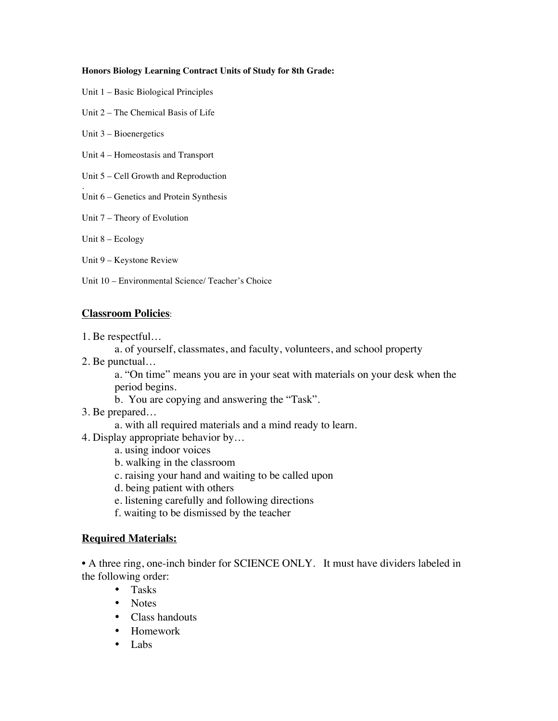#### **Honors Biology Learning Contract Units of Study for 8th Grade:**

- Unit 1 Basic Biological Principles
- Unit 2 The Chemical Basis of Life
- Unit 3 Bioenergetics
- Unit 4 Homeostasis and Transport
- Unit 5 Cell Growth and Reproduction
- . Unit 6 – Genetics and Protein Synthesis
- Unit 7 Theory of Evolution
- Unit 8 Ecology
- Unit 9 Keystone Review
- Unit 10 Environmental Science/ Teacher's Choice

### **Classroom Policies**:

- 1. Be respectful…
	- a. of yourself, classmates, and faculty, volunteers, and school property
- 2. Be punctual…
	- a. "On time" means you are in your seat with materials on your desk when the period begins.
	- b. You are copying and answering the "Task".
- 3. Be prepared…
	- a. with all required materials and a mind ready to learn.
- 4. Display appropriate behavior by…
	- a. using indoor voices
	- b. walking in the classroom
	- c. raising your hand and waiting to be called upon
	- d. being patient with others
	- e. listening carefully and following directions
	- f. waiting to be dismissed by the teacher

### **Required Materials:**

• A three ring, one-inch binder for SCIENCE ONLY. It must have dividers labeled in the following order:

- Tasks
- Notes
- Class handouts
- Homework
- Labs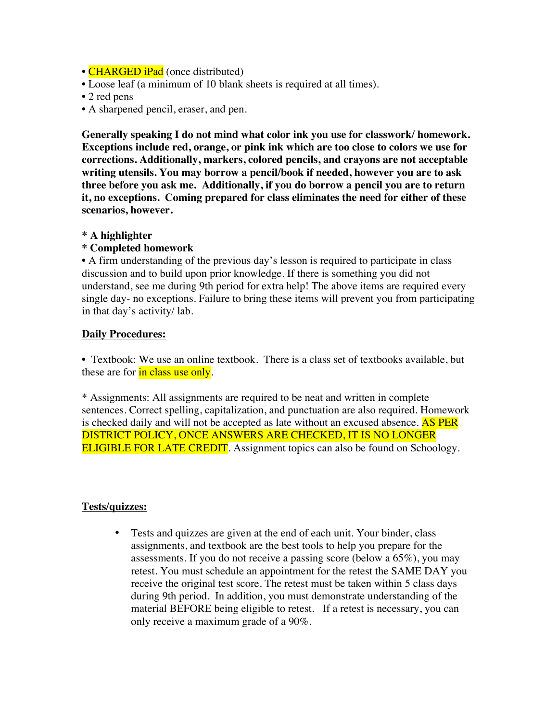- **CHARGED iPad** (once distributed)
- Loose leaf (a minimum of 10 blank sheets is required at all times).
- 2 red pens
- A sharpened pencil, eraser, and pen.

**Generally speaking I do not mind what color ink you use for classwork/ homework. Exceptions include red, orange, or pink ink which are too close to colors we use for corrections. Additionally, markers, colored pencils, and crayons are not acceptable writing utensils. You may borrow a pencil/book if needed, however you are to ask three before you ask me. Additionally, if you do borrow a pencil you are to return it, no exceptions. Coming prepared for class eliminates the need for either of these scenarios, however.** 

### **\* A highlighter**

### **\* Completed homework**

• A firm understanding of the previous day's lesson is required to participate in class discussion and to build upon prior knowledge. If there is something you did not understand, see me during 9th period for extra help! The above items are required every single day- no exceptions. Failure to bring these items will prevent you from participating in that day's activity/ lab.

### **Daily Procedures:**

• Textbook: We use an online textbook. There is a class set of textbooks available, but these are for in class use only.

\* Assignments: All assignments are required to be neat and written in complete sentences. Correct spelling, capitalization, and punctuation are also required. Homework is checked daily and will not be accepted as late without an excused absence. AS PER DISTRICT POLICY, ONCE ANSWERS ARE CHECKED, IT IS NO LONGER ELIGIBLE FOR LATE CREDIT. Assignment topics can also be found on Schoology.

### **Tests/quizzes:**

• Tests and quizzes are given at the end of each unit. Your binder, class assignments, and textbook are the best tools to help you prepare for the assessments. If you do not receive a passing score (below a 65%), you may retest. You must schedule an appointment for the retest the SAME DAY you receive the original test score. The retest must be taken within 5 class days during 9th period. In addition, you must demonstrate understanding of the material BEFORE being eligible to retest. If a retest is necessary, you can only receive a maximum grade of a 90%.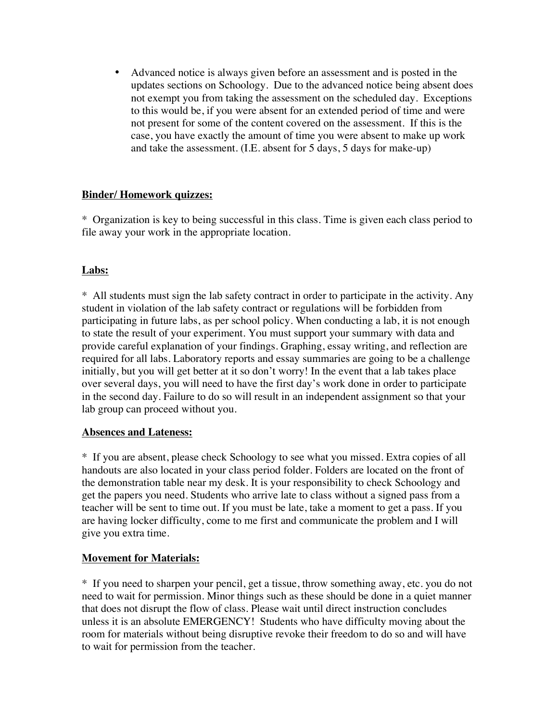• Advanced notice is always given before an assessment and is posted in the updates sections on Schoology. Due to the advanced notice being absent does not exempt you from taking the assessment on the scheduled day. Exceptions to this would be, if you were absent for an extended period of time and were not present for some of the content covered on the assessment. If this is the case, you have exactly the amount of time you were absent to make up work and take the assessment. (I.E. absent for 5 days, 5 days for make-up)

## **Binder/ Homework quizzes:**

\* Organization is key to being successful in this class. Time is given each class period to file away your work in the appropriate location.

# **Labs:**

\* All students must sign the lab safety contract in order to participate in the activity. Any student in violation of the lab safety contract or regulations will be forbidden from participating in future labs, as per school policy. When conducting a lab, it is not enough to state the result of your experiment. You must support your summary with data and provide careful explanation of your findings. Graphing, essay writing, and reflection are required for all labs. Laboratory reports and essay summaries are going to be a challenge initially, but you will get better at it so don't worry! In the event that a lab takes place over several days, you will need to have the first day's work done in order to participate in the second day. Failure to do so will result in an independent assignment so that your lab group can proceed without you.

# **Absences and Lateness:**

\* If you are absent, please check Schoology to see what you missed. Extra copies of all handouts are also located in your class period folder. Folders are located on the front of the demonstration table near my desk. It is your responsibility to check Schoology and get the papers you need. Students who arrive late to class without a signed pass from a teacher will be sent to time out. If you must be late, take a moment to get a pass. If you are having locker difficulty, come to me first and communicate the problem and I will give you extra time.

# **Movement for Materials:**

\* If you need to sharpen your pencil, get a tissue, throw something away, etc. you do not need to wait for permission. Minor things such as these should be done in a quiet manner that does not disrupt the flow of class. Please wait until direct instruction concludes unless it is an absolute EMERGENCY! Students who have difficulty moving about the room for materials without being disruptive revoke their freedom to do so and will have to wait for permission from the teacher.